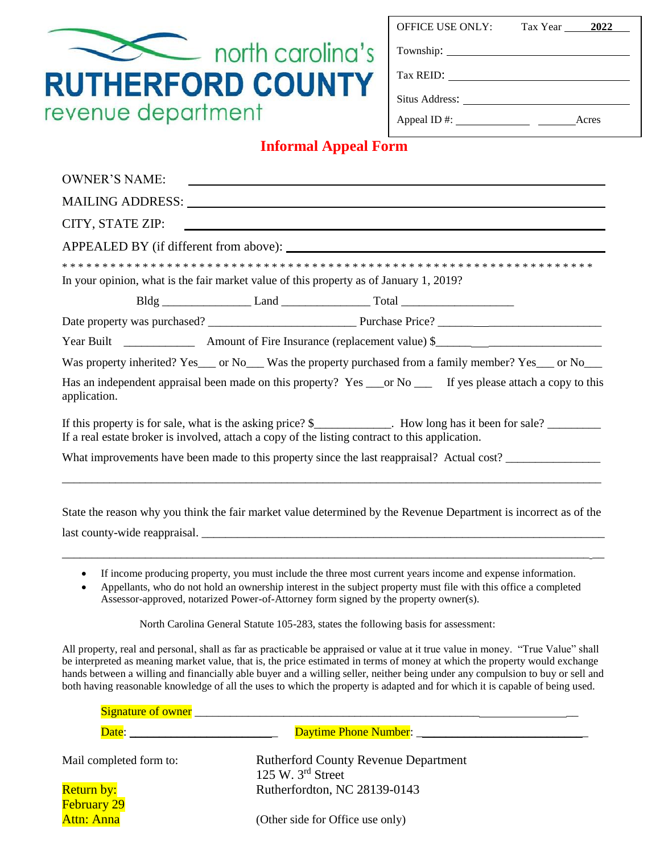| <b>OFFICE USE ONLY:</b> |  |
|-------------------------|--|
|                         |  |

Tax Year **2022** 

Township:

Tax REID:

Situs Address:

Appeal ID #: Acres

## **Informal Appeal Form**

north carolina's

**RUTHERFORD COUNTY** 

revenue department

| <b>OWNER'S NAME:</b>                                                                                                                                                                                               |  |  |                                                                                                                                                                                                                                 |  |  |  |
|--------------------------------------------------------------------------------------------------------------------------------------------------------------------------------------------------------------------|--|--|---------------------------------------------------------------------------------------------------------------------------------------------------------------------------------------------------------------------------------|--|--|--|
| CITY, STATE ZIP:<br><u> 1989 - Andrea Barbara, poeta esperanto-</u>                                                                                                                                                |  |  |                                                                                                                                                                                                                                 |  |  |  |
|                                                                                                                                                                                                                    |  |  |                                                                                                                                                                                                                                 |  |  |  |
| In your opinion, what is the fair market value of this property as of January 1, 2019?                                                                                                                             |  |  |                                                                                                                                                                                                                                 |  |  |  |
|                                                                                                                                                                                                                    |  |  |                                                                                                                                                                                                                                 |  |  |  |
|                                                                                                                                                                                                                    |  |  |                                                                                                                                                                                                                                 |  |  |  |
|                                                                                                                                                                                                                    |  |  |                                                                                                                                                                                                                                 |  |  |  |
| Was property inherited? Yes___ or No___ Was the property purchased from a family member? Yes___ or No___                                                                                                           |  |  |                                                                                                                                                                                                                                 |  |  |  |
| Has an independent appraisal been made on this property? Yes ___ or No ___ If yes please attach a copy to this<br>application.                                                                                     |  |  |                                                                                                                                                                                                                                 |  |  |  |
| If this property is for sale, what is the asking price? \$___________. How long has it been for sale? _________<br>If a real estate broker is involved, attach a copy of the listing contract to this application. |  |  |                                                                                                                                                                                                                                 |  |  |  |
| What improvements have been made to this property since the last reappraisal? Actual cost?                                                                                                                         |  |  |                                                                                                                                                                                                                                 |  |  |  |
| State the reason why you think the fair market value determined by the Revenue Department is incorrect as of the                                                                                                   |  |  |                                                                                                                                                                                                                                 |  |  |  |
| $\bullet$<br>Assessor-approved, notarized Power-of-Attorney form signed by the property owner(s).                                                                                                                  |  |  | If income producing property, you must include the three most current years income and expense information.<br>Appellants, who do not hold an ownership interest in the subject property must file with this office a completed |  |  |  |

North Carolina General Statute 105-283, states the following basis for assessment:

All property, real and personal, shall as far as practicable be appraised or value at it true value in money. "True Value" shall be interpreted as meaning market value, that is, the price estimated in terms of money at which the property would exchange hands between a willing and financially able buyer and a willing seller, neither being under any compulsion to buy or sell and both having reasonable knowledge of all the uses to which the property is adapted and for which it is capable of being used.

| Signature of owner               |                                                                    |
|----------------------------------|--------------------------------------------------------------------|
| Date:                            |                                                                    |
| Mail completed form to:          | <b>Rutherford County Revenue Department</b><br>125 W. $3rd$ Street |
| Return by:<br><b>February 29</b> | Rutherfordton, NC 28139-0143                                       |
| Attn: Anna                       | (Other side for Office use only)                                   |